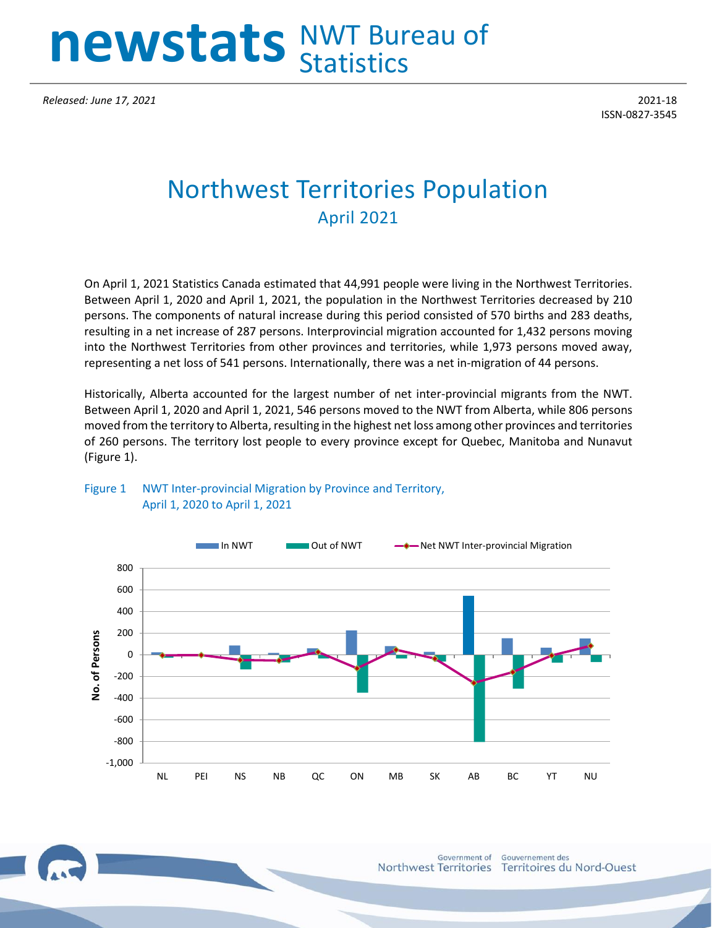# **newstats** NWT Bureau of Statistics **newstats** NWT Bureau of **newstats** Statistics NWT Bureau of **Statistics**

*Released: June 17, 2021* 2021-18

ISSN-0827-3545

## Northwest Territories Population April 2021

On April 1, 2021 Statistics Canada estimated that 44,991 people were living in the Northwest Territories. Between April 1, 2020 and April 1, 2021, the population in the Northwest Territories decreased by 210 persons. The components of natural increase during this period consisted of 570 births and 283 deaths, resulting in a net increase of 287 persons. Interprovincial migration accounted for 1,432 persons moving into the Northwest Territories from other provinces and territories, while 1,973 persons moved away, representing a net loss of 541 persons. Internationally, there was a net in-migration of 44 persons.

Historically, Alberta accounted for the largest number of net inter-provincial migrants from the NWT. Between April 1, 2020 and April 1, 2021, 546 persons moved to the NWT from Alberta, while 806 persons moved from the territory to Alberta, resulting in the highest net loss among other provinces and territories of 260 persons. The territory lost people to every province except for Quebec, Manitoba and Nunavut (Figure 1).



#### Figure 1 NWT Inter-provincial Migration by Province and Territory, April 1, 2020 to April 1, 2021

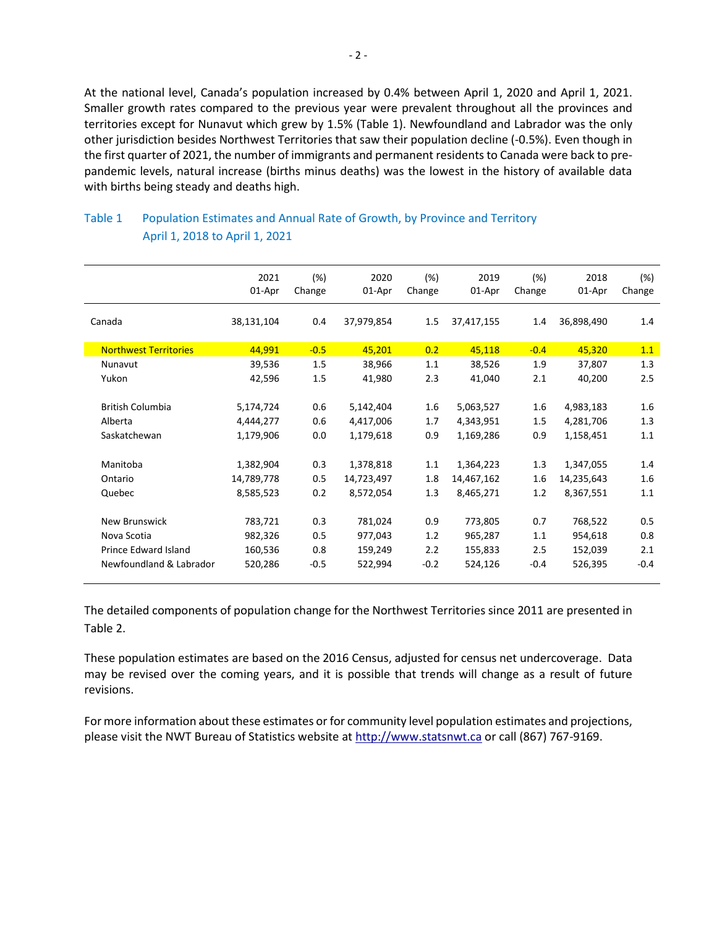At the national level, Canada's population increased by 0.4% between April 1, 2020 and April 1, 2021. Smaller growth rates compared to the previous year were prevalent throughout all the provinces and territories except for Nunavut which grew by 1.5% (Table 1). Newfoundland and Labrador was the only other jurisdiction besides Northwest Territories that saw their population decline (-0.5%). Even though in the first quarter of 2021, the number of immigrants and permanent residents to Canada were back to prepandemic levels, natural increase (births minus deaths) was the lowest in the history of available data with births being steady and deaths high.

|                              | 2021<br>01-Apr | (%)<br>Change | 2020<br>01-Apr | (%)<br>Change | 2019<br>01-Apr | (%)<br>Change | 2018<br>01-Apr | (%)<br>Change |
|------------------------------|----------------|---------------|----------------|---------------|----------------|---------------|----------------|---------------|
| Canada                       | 38,131,104     | 0.4           | 37,979,854     | 1.5           | 37,417,155     | 1.4           | 36,898,490     | 1.4           |
| <b>Northwest Territories</b> | 44,991         | $-0.5$        | 45,201         | 0.2           | 45,118         | $-0.4$        | 45,320         | 1.1           |
| Nunavut                      | 39,536         | 1.5           | 38,966         | 1.1           | 38,526         | 1.9           | 37,807         | 1.3           |
| Yukon                        | 42,596         | 1.5           | 41,980         | 2.3           | 41,040         | 2.1           | 40,200         | 2.5           |
|                              |                |               |                |               |                |               |                |               |
| <b>British Columbia</b>      | 5,174,724      | 0.6           | 5,142,404      | 1.6           | 5,063,527      | 1.6           | 4,983,183      | 1.6           |
| Alberta                      | 4,444,277      | 0.6           | 4,417,006      | 1.7           | 4,343,951      | $1.5\,$       | 4,281,706      | 1.3           |
| Saskatchewan                 | 1,179,906      | 0.0           | 1,179,618      | 0.9           | 1,169,286      | 0.9           | 1,158,451      | 1.1           |
|                              |                |               |                |               |                |               |                |               |
| Manitoba                     | 1,382,904      | 0.3           | 1,378,818      | 1.1           | 1,364,223      | 1.3           | 1,347,055      | 1.4           |
| Ontario                      | 14,789,778     | 0.5           | 14,723,497     | 1.8           | 14,467,162     | 1.6           | 14,235,643     | 1.6           |
| Quebec                       | 8,585,523      | 0.2           | 8,572,054      | 1.3           | 8,465,271      | 1.2           | 8,367,551      | 1.1           |
|                              |                |               |                |               |                |               |                |               |
| <b>New Brunswick</b>         | 783,721        | 0.3           | 781,024        | 0.9           | 773,805        | 0.7           | 768,522        | 0.5           |
| Nova Scotia                  | 982,326        | 0.5           | 977,043        | 1.2           | 965,287        | 1.1           | 954,618        | 0.8           |
| Prince Edward Island         | 160,536        | 0.8           | 159,249        | 2.2           | 155,833        | 2.5           | 152,039        | 2.1           |
| Newfoundland & Labrador      | 520,286        | $-0.5$        | 522,994        | $-0.2$        | 524,126        | $-0.4$        | 526,395        | $-0.4$        |
|                              |                |               |                |               |                |               |                |               |

### Table 1 Population Estimates and Annual Rate of Growth, by Province and Territory April 1, 2018 to April 1, 2021

The detailed components of population change for the Northwest Territories since 2011 are presented in Table 2.

These population estimates are based on the 2016 Census, adjusted for census net undercoverage. Data may be revised over the coming years, and it is possible that trends will change as a result of future revisions.

For more information about these estimates or for community level population estimates and projections, please visit the NWT Bureau of Statistics website at http://www.statsnwt.ca or call (867) 767-9169.